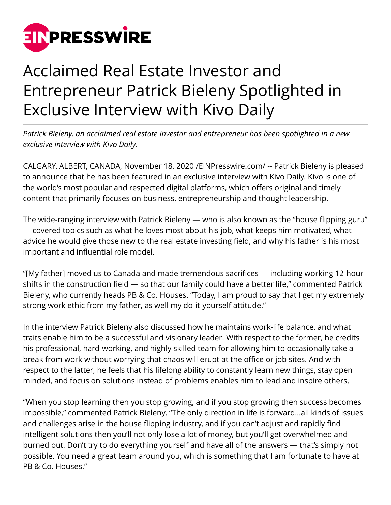

## Acclaimed Real Estate Investor and Entrepreneur Patrick Bieleny Spotlighted in Exclusive Interview with Kivo Daily

*Patrick Bieleny, an acclaimed real estate investor and entrepreneur has been spotlighted in a new exclusive interview with Kivo Daily.*

CALGARY, ALBERT, CANADA, November 18, 2020 [/EINPresswire.com](http://www.einpresswire.com)/ -- Patrick Bieleny is pleased to announce that he has been featured in an exclusive interview with Kivo Daily. Kivo is one of the world's most popular and respected digital platforms, which offers original and timely content that primarily focuses on business, entrepreneurship and thought leadership.

The wide-ranging interview with Patrick Bieleny — who is also known as the "house flipping guru" — covered topics such as what he loves most about his job, what keeps him motivated, what advice he would give those new to the real estate investing field, and why his father is his most important and influential role model.

"[My father] moved us to Canada and made tremendous sacrifices — including working 12-hour shifts in the construction field — so that our family could have a better life," commented Patrick Bieleny, who currently heads PB & Co. Houses. "Today, I am proud to say that I get my extremely strong work ethic from my father, as well my do-it-yourself attitude."

In the interview Patrick Bieleny also discussed how he maintains work-life balance, and what traits enable him to be a successful and visionary leader. With respect to the former, he credits his professional, hard-working, and highly skilled team for allowing him to occasionally take a break from work without worrying that chaos will erupt at the office or job sites. And with respect to the latter, he feels that his lifelong ability to constantly learn new things, stay open minded, and focus on solutions instead of problems enables him to lead and inspire others.

"When you stop learning then you stop growing, and if you stop growing then success becomes impossible," commented Patrick Bieleny. "The only direction in life is forward…all kinds of issues and challenges arise in the house flipping industry, and if you can't adjust and rapidly find intelligent solutions then you'll not only lose a lot of money, but you'll get overwhelmed and burned out. Don't try to do everything yourself and have all of the answers — that's simply not possible. You need a great team around you, which is something that I am fortunate to have at PB & Co. Houses."